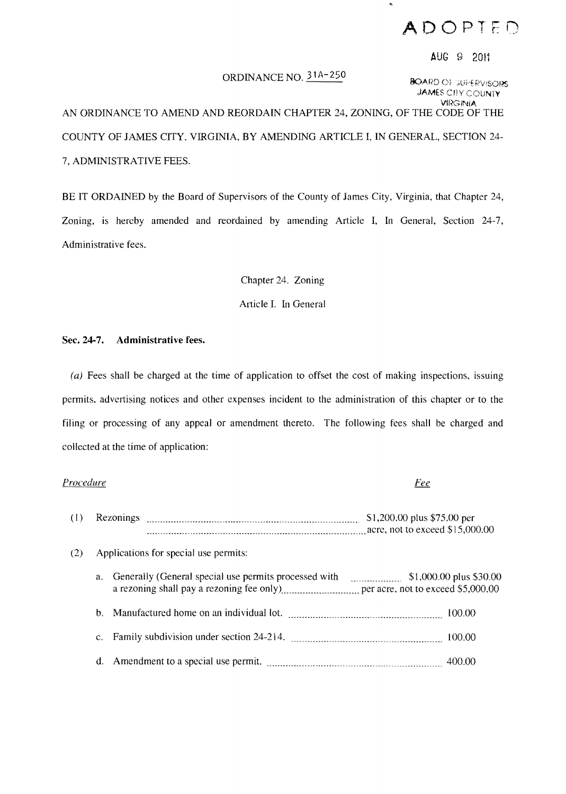## **ADOPTED**

### AUG 9 2011

ORDINANCE NO.  $\frac{31A-250}{8}$  BOARD OF SUPERVISORS **JAMES CITY COUNTY VIRGINIA** 

AN ORDINANCE TO AMEND AND REORDAIN CHAPTER 24, ZONING, OF THE CODE OF THE COUNTY OF JAMES CITY, VIRGINIA, BY AMENDING ARTICLE I, IN GENERAL, SECTION 24 7, ADMINISTRATIVE FEES.

BE IT ORDAINED by the Board of Supervisors of the County of James City, Virginia, that Chapter 24, Zoning, is hereby amended and reordained by amending Article 1, In General, Section 24-7, Administrative fees.

Chapter 24. Zoning

Article I. In General

### Sec. 24-7. **Administrative** fees.

(a) Fees shall be charged at the time of application to offset the cost of making inspections, issuing permits, advertising notices and other expenses incident to the administration of this chapter or to the filing or processing of any appeal or amendment thereto. The following fees shall be charged and collected at the time of application:

# *Procedure*  <u>Fee</u> (1) Rezonings ..............\_..................... \_\_\_\_ ......... \_\_\_ ............... \_\_ ......... S I ,200.00 plus \$75.00 per ... \_\_\_\_\_ ....... \_\_ ........ \_\_ ..\_\_\_ .........\_\_ ...............................\_...... acre, not to exceed \$15,000.00 (2) Applications for special use permits: a. Generally (General special use permits processed with .. \_\_\_ .............. \$1,000.00 plus \$30.00 a rezoning shall pay a rezoning fee only) ............................. per acre, not to exceed \$5,000.00 b. Manufactured home on an individual lot. 100.00 minutes and the Manufactured home on an individual lot. c. Family subdivision under section 24-214. . ................................. \_\_\_\_ ...............\_.. 100.00 d. Amendment to a special use permit. \_......................... \_\_\_\_ ..........\_......... \_\_ ....... \_\_\_\_ .. 400.00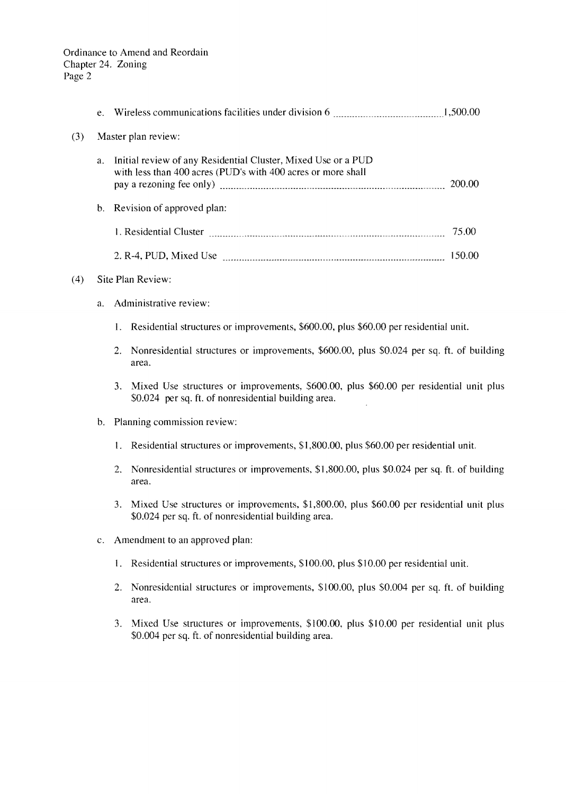Ordinance to Amend and Reordain Chapter 24. Zoning Page 2

|     | e.             |                                                                                                                                                                                                                                                                                                                                                                |       |  |
|-----|----------------|----------------------------------------------------------------------------------------------------------------------------------------------------------------------------------------------------------------------------------------------------------------------------------------------------------------------------------------------------------------|-------|--|
| (3) |                | Master plan review:                                                                                                                                                                                                                                                                                                                                            |       |  |
|     | а.             | Initial review of any Residential Cluster, Mixed Use or a PUD<br>with less than 400 acres (PUD's with 400 acres or more shall<br>pay a rezoning fee only) manufactured and the control of the control of the control of the control of the control of the control of the control of the control of the control of the control of the control of the control of |       |  |
|     | $\mathbf b$ .  | Revision of approved plan:                                                                                                                                                                                                                                                                                                                                     |       |  |
|     |                |                                                                                                                                                                                                                                                                                                                                                                | 75.00 |  |
|     |                |                                                                                                                                                                                                                                                                                                                                                                |       |  |
| (4) |                | Site Plan Review:                                                                                                                                                                                                                                                                                                                                              |       |  |
|     | a.             | Administrative review:                                                                                                                                                                                                                                                                                                                                         |       |  |
|     |                | 1. Residential structures or improvements, \$600.00, plus \$60.00 per residential unit.                                                                                                                                                                                                                                                                        |       |  |
|     |                | Nonresidential structures or improvements, \$600.00, plus \$0.024 per sq. ft. of building<br>2.<br>area.                                                                                                                                                                                                                                                       |       |  |
|     |                | 3. Mixed Use structures or improvements, \$600.00, plus \$60.00 per residential unit plus<br>\$0.024 per sq. ft. of nonresidential building area.                                                                                                                                                                                                              |       |  |
|     | $\mathbf{b}$ . | Planning commission review:                                                                                                                                                                                                                                                                                                                                    |       |  |
|     |                | 1. Residential structures or improvements, \$1,800.00, plus \$60.00 per residential unit.                                                                                                                                                                                                                                                                      |       |  |
|     |                | Nonresidential structures or improvements, \$1,800.00, plus \$0.024 per sq. ft. of building<br>2.<br>area.                                                                                                                                                                                                                                                     |       |  |
|     |                | Mixed Use structures or improvements, \$1,800.00, plus \$60.00 per residential unit plus<br>3.<br>\$0.024 per sq. ft. of nonresidential building area.                                                                                                                                                                                                         |       |  |
|     | $c_{\cdot}$    | Amendment to an approved plan:                                                                                                                                                                                                                                                                                                                                 |       |  |
|     |                | Residential structures or improvements, \$100.00, plus \$10.00 per residential unit.<br>1.                                                                                                                                                                                                                                                                     |       |  |
|     |                | Nonresidential structures or improvements, \$100.00, plus \$0.004 per sq. ft. of building<br>2.<br>area.                                                                                                                                                                                                                                                       |       |  |
|     |                | 3. Mixed Use structures or improvements, \$100.00, plus \$10.00 per residential unit plus<br>\$0.004 per sq. ft. of nonresidential building area.                                                                                                                                                                                                              |       |  |
|     |                |                                                                                                                                                                                                                                                                                                                                                                |       |  |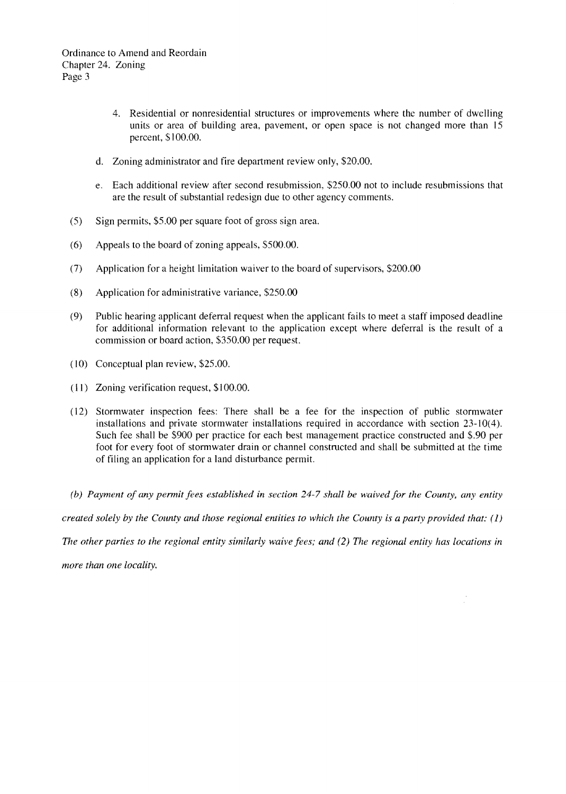- 4. Residential or nonresidential structures or improvements where the number of dwelling units or area of building area, pavement, or open space is not changed more than 15 percent, \$ I 00.00.
- d. Zoning administrator and fire department review only, \$20.00.
- e. Each additional review after second resubmission, \$250.00 not to include resubmissions that are the result of substantial redesign due to other agency comments.
- (5) Sign permits, \$5.00 per square foot of gross sign area.
- (6) Appeals to the board of zoning appeals, \$500.00.
- (7) Application for a height limitation waiver to the board of supervisors, \$200.00
- (8) Application for administrative variance, \$250.00
- (9) Public hearing applicant deferral request when the applicant fails to meet a staff imposed deadline for additional information relevant to the application except where deferral is the result of a commission or board action, \$350.00 per request.
- (10) Conceptual plan review, \$25.00.
- (II) Zoning verification request, \$100.00.
- (12) Stormwater inspection fees: There shall be a fee for the inspection of public stormwater installations and private stormwater installations required in accordance with section 23-10(4). Such fee shall be \$900 per practice for each best management practice constructed and \$.90 per foot for every foot of storm water drain or channel constructed and shall be submitted at the time of filing an application for a land disturbance permit.
- *(b) Payment of any permit fees established in section* 24-7 *shall be waived for the County, any entity*

*created solely by the County and those regional entities to which the County is a party provided that:* (1)

*The other parties to the regional entity similarly waive fees; and* (2) *The regional entity has locations in* 

*more than one locality.*